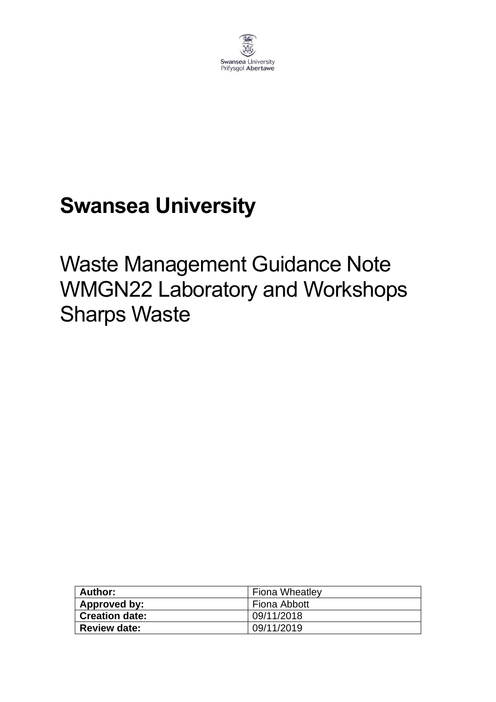

# **Swansea University**

# Waste Management Guidance Note WMGN22 Laboratory and Workshops Sharps Waste

| Author:               | <b>Fiona Wheatley</b> |
|-----------------------|-----------------------|
| Approved by:          | Fiona Abbott          |
| <b>Creation date:</b> | 09/11/2018            |
| <b>Review date:</b>   | 09/11/2019            |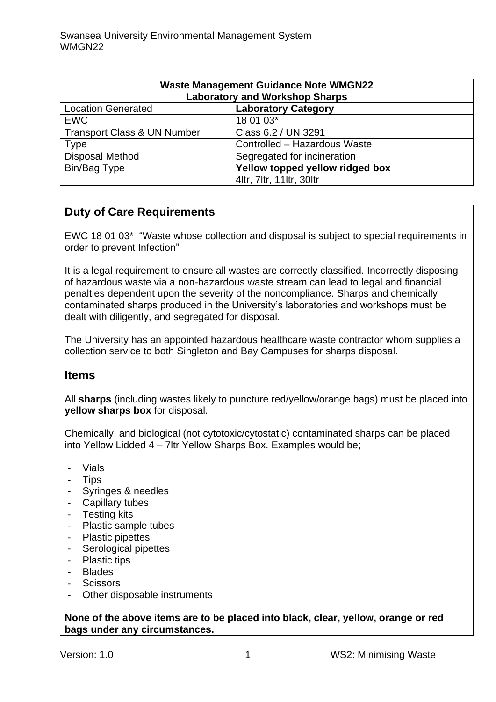| <b>Waste Management Guidance Note WMGN22</b><br><b>Laboratory and Workshop Sharps</b> |                                 |
|---------------------------------------------------------------------------------------|---------------------------------|
| <b>Location Generated</b>                                                             | <b>Laboratory Category</b>      |
| <b>EWC</b>                                                                            | 18 01 03*                       |
| <b>Transport Class &amp; UN Number</b>                                                | Class 6.2 / UN 3291             |
| <b>Type</b>                                                                           | Controlled - Hazardous Waste    |
| <b>Disposal Method</b>                                                                | Segregated for incineration     |
| Bin/Bag Type                                                                          | Yellow topped yellow ridged box |
|                                                                                       | 4ltr, 7ltr, 11ltr, 30ltr        |

### **Duty of Care Requirements**

EWC 18 01 03\* "Waste whose collection and disposal is subject to special requirements in order to prevent Infection"

It is a legal requirement to ensure all wastes are correctly classified. Incorrectly disposing of hazardous waste via a non-hazardous waste stream can lead to legal and financial penalties dependent upon the severity of the noncompliance. Sharps and chemically contaminated sharps produced in the University's laboratories and workshops must be dealt with diligently, and segregated for disposal.

The University has an appointed hazardous healthcare waste contractor whom supplies a collection service to both Singleton and Bay Campuses for sharps disposal.

#### **Items**

All **sharps** (including wastes likely to puncture red/yellow/orange bags) must be placed into **yellow sharps box** for disposal.

Chemically, and biological (not cytotoxic/cytostatic) contaminated sharps can be placed into Yellow Lidded 4 – 7ltr Yellow Sharps Box. Examples would be;

- Vials
- Tips
- Syringes & needles
- Capillary tubes
- Testing kits
- Plastic sample tubes
- Plastic pipettes
- Serological pipettes
- Plastic tips
- Blades
- Scissors
- Other disposable instruments

**None of the above items are to be placed into black, clear, yellow, orange or red bags under any circumstances.**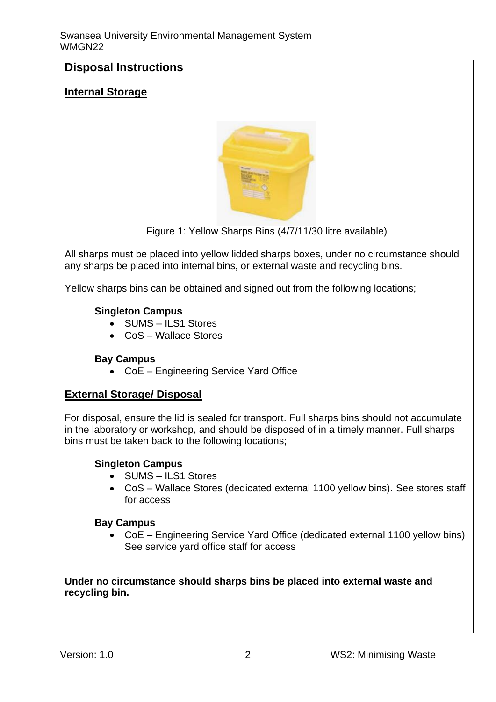# **Disposal Instructions**

### **Internal Storage**



Figure 1: Yellow Sharps Bins (4/7/11/30 litre available)

All sharps must be placed into yellow lidded sharps boxes, under no circumstance should any sharps be placed into internal bins, or external waste and recycling bins.

Yellow sharps bins can be obtained and signed out from the following locations;

#### **Singleton Campus**

- SUMS ILS1 Stores
- CoS Wallace Stores

#### **Bay Campus**

• CoE – Engineering Service Yard Office

### **External Storage/ Disposal**

For disposal, ensure the lid is sealed for transport. Full sharps bins should not accumulate in the laboratory or workshop, and should be disposed of in a timely manner. Full sharps bins must be taken back to the following locations;

#### **Singleton Campus**

- SUMS ILS1 Stores
- CoS Wallace Stores (dedicated external 1100 yellow bins). See stores staff for access

#### **Bay Campus**

• CoE – Engineering Service Yard Office (dedicated external 1100 yellow bins) See service yard office staff for access

#### **Under no circumstance should sharps bins be placed into external waste and recycling bin.**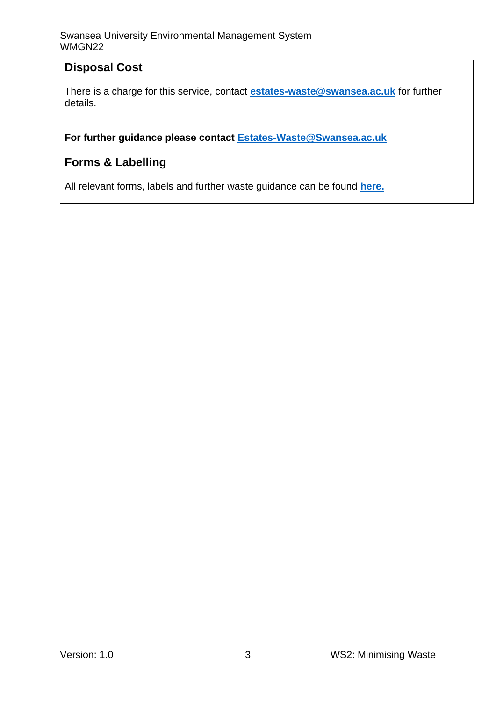## **Disposal Cost**

There is a charge for this service, contact **[estates-waste@swansea.ac.uk](mailto:estates-waste@swansea.ac.uk)** for further details.

#### **For further guidance please contact [Estates-Waste@Swansea.ac.uk](mailto:Estates-Waste@Swansea.ac.uk)**

## **Forms & Labelling**

All relevant forms, labels and further waste guidance can be found **[here.](https://www.swansea.ac.uk/sustainability/waste/#waste-management-guidance-notes=is-expanded)**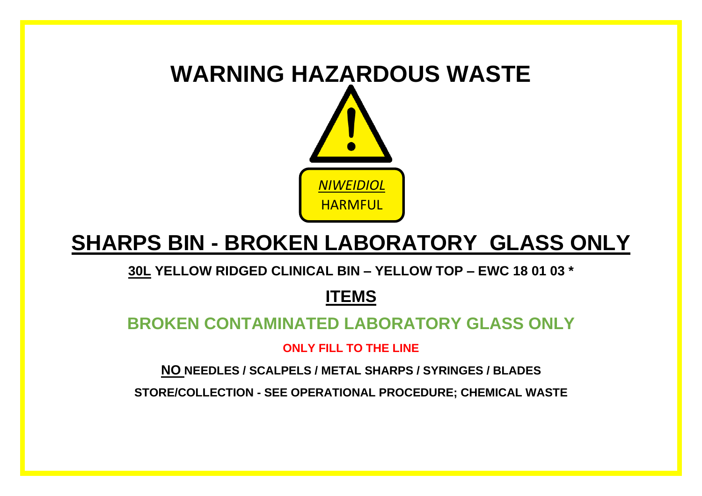

# **SHARPS BIN - BROKEN LABORATORY GLASS ONLY**

**30L YELLOW RIDGED CLINICAL BIN – YELLOW TOP – EWC 18 01 03 \*** 

# **ITEMS**

# **BROKEN CONTAMINATED LABORATORY GLASS ONLY**

**ONLY FILL TO THE LINE** 

**NO NEEDLES / SCALPELS / METAL SHARPS / SYRINGES / BLADES** 

**STORE/COLLECTION - SEE OPERATIONAL PROCEDURE; CHEMICAL WASTE**